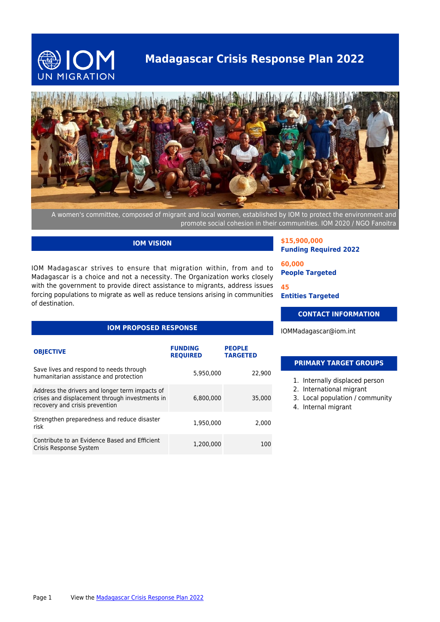

# **Madagascar Crisis Response Plan 2022**



A women's committee, composed of migrant and local women, established by IOM to protect the environment and promote social cohesion in their communities. IOM 2020 / NGO Fanoitra

# **IOM VISION**

IOM Madagascar strives to ensure that migration within, from and to Madagascar is a choice and not a necessity. The Organization works closely with the government to provide direct assistance to migrants, address issues forcing populations to migrate as well as reduce tensions arising in communities of destination.

# **IOM PROPOSED RESPONSE**

| <b>OBJECTIVE</b>                                                                                                                   | <b>FUNDING</b><br><b>REQUIRED</b> | <b>PEOPLE</b><br><b>TARGETED</b> |
|------------------------------------------------------------------------------------------------------------------------------------|-----------------------------------|----------------------------------|
| Save lives and respond to needs through<br>humanitarian assistance and protection                                                  | 5,950,000                         | 22,900                           |
| Address the drivers and longer term impacts of<br>crises and displacement through investments in<br>recovery and crisis prevention | 6,800,000                         | 35,000                           |
| Strengthen preparedness and reduce disaster<br>risk                                                                                | 1,950,000                         | 2,000                            |
| Contribute to an Evidence Based and Efficient<br>Crisis Response System                                                            | 1.200.000                         | 100                              |

**\$15,900,000 Funding Required 2022**

**60,000 People Targeted**

**45 Entities Targeted**

# **CONTACT INFORMATION**

IOMMadagascar@iom.int

#### **PRIMARY TARGET GROUPS**

- 1. Internally displaced person
- 2. International migrant
- 3. Local population / community
- 4. Internal migrant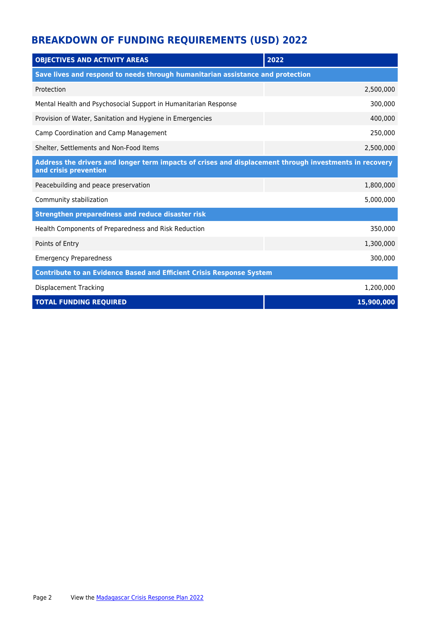# **BREAKDOWN OF FUNDING REQUIREMENTS (USD) 2022**

| <b>OBJECTIVES AND ACTIVITY AREAS</b>                                                                                            | 2022       |  |
|---------------------------------------------------------------------------------------------------------------------------------|------------|--|
| Save lives and respond to needs through humanitarian assistance and protection                                                  |            |  |
| Protection                                                                                                                      | 2,500,000  |  |
| Mental Health and Psychosocial Support in Humanitarian Response                                                                 | 300,000    |  |
| Provision of Water, Sanitation and Hygiene in Emergencies                                                                       | 400,000    |  |
| Camp Coordination and Camp Management                                                                                           | 250,000    |  |
| Shelter, Settlements and Non-Food Items                                                                                         | 2,500,000  |  |
| Address the drivers and longer term impacts of crises and displacement through investments in recovery<br>and crisis prevention |            |  |
| Peacebuilding and peace preservation                                                                                            | 1,800,000  |  |
| Community stabilization                                                                                                         | 5,000,000  |  |
| Strengthen preparedness and reduce disaster risk                                                                                |            |  |
| Health Components of Preparedness and Risk Reduction                                                                            | 350,000    |  |
| Points of Entry                                                                                                                 | 1,300,000  |  |
| <b>Emergency Preparedness</b>                                                                                                   | 300,000    |  |
| <b>Contribute to an Evidence Based and Efficient Crisis Response System</b>                                                     |            |  |
| Displacement Tracking                                                                                                           | 1,200,000  |  |
| <b>TOTAL FUNDING REQUIRED</b>                                                                                                   | 15,900,000 |  |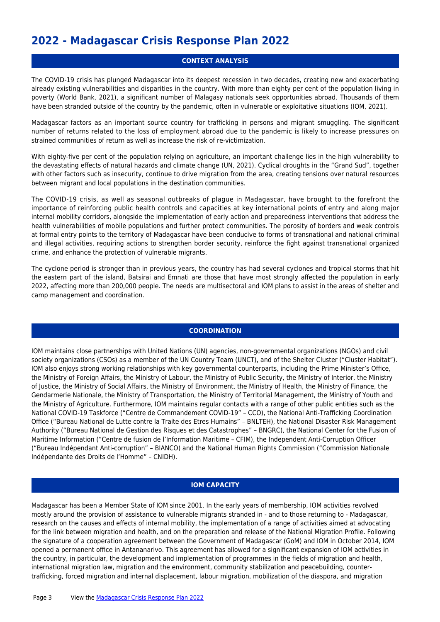# **2022 - Madagascar Crisis Response Plan 2022**

## **CONTEXT ANALYSIS**

The COVID-19 crisis has plunged Madagascar into its deepest recession in two decades, creating new and exacerbating already existing vulnerabilities and disparities in the country. With more than eighty per cent of the population living in poverty (World Bank, 2021), a significant number of Malagasy nationals seek opportunities abroad. Thousands of them have been stranded outside of the country by the pandemic, often in vulnerable or exploitative situations (IOM, 2021).

Madagascar factors as an important source country for trafficking in persons and migrant smuggling. The significant number of returns related to the loss of employment abroad due to the pandemic is likely to increase pressures on strained communities of return as well as increase the risk of re-victimization.

With eighty-five per cent of the population relying on agriculture, an important challenge lies in the high vulnerability to the devastating effects of natural hazards and climate change (UN, 2021). Cyclical droughts in the "Grand Sud", together with other factors such as insecurity, continue to drive migration from the area, creating tensions over natural resources between migrant and local populations in the destination communities.

The COVID-19 crisis, as well as seasonal outbreaks of plague in Madagascar, have brought to the forefront the importance of reinforcing public health controls and capacities at key international points of entry and along major internal mobility corridors, alongside the implementation of early action and preparedness interventions that address the health vulnerabilities of mobile populations and further protect communities. The porosity of borders and weak controls at formal entry points to the territory of Madagascar have been conducive to forms of transnational and national criminal and illegal activities, requiring actions to strengthen border security, reinforce the fight against transnational organized crime, and enhance the protection of vulnerable migrants.

The cyclone period is stronger than in previous years, the country has had several cyclones and tropical storms that hit the eastern part of the island, Batsirai and Emnati are those that have most strongly affected the population in early 2022, affecting more than 200,000 people. The needs are multisectoral and IOM plans to assist in the areas of shelter and camp management and coordination.

### **COORDINATION**

IOM maintains close partnerships with United Nations (UN) agencies, non-governmental organizations (NGOs) and civil society organizations (CSOs) as a member of the UN Country Team (UNCT), and of the Shelter Cluster ("Cluster Habitat"). IOM also enjoys strong working relationships with key governmental counterparts, including the Prime Minister's Office, the Ministry of Foreign Affairs, the Ministry of Labour, the Ministry of Public Security, the Ministry of Interior, the Ministry of Justice, the Ministry of Social Affairs, the Ministry of Environment, the Ministry of Health, the Ministry of Finance, the Gendarmerie Nationale, the Ministry of Transportation, the Ministry of Territorial Management, the Ministry of Youth and the Ministry of Agriculture. Furthermore, IOM maintains regular contacts with a range of other public entities such as the National COVID-19 Taskforce ("Centre de Commandement COVID-19" – CCO), the National Anti-Trafficking Coordination Office ("Bureau National de Lutte contre la Traite des Etres Humains" – BNLTEH), the National Disaster Risk Management Authority ("Bureau National de Gestion des Risques et des Catastrophes" – BNGRC), the National Center for the Fusion of Maritime Information ("Centre de fusion de l'Information Maritime – CFIM), the Independent Anti-Corruption Officer ("Bureau Indépendant Anti-corruption" – BIANCO) and the National Human Rights Commission ("Commission Nationale Indépendante des Droits de l'Homme" – CNIDH).

### **IOM CAPACITY**

Madagascar has been a Member State of IOM since 2001. In the early years of membership, IOM activities revolved mostly around the provision of assistance to vulnerable migrants stranded in - and to those returning to - Madagascar, research on the causes and effects of internal mobility, the implementation of a range of activities aimed at advocating for the link between migration and health, and on the preparation and release of the National Migration Profile. Following the signature of a cooperation agreement between the Government of Madagascar (GoM) and IOM in October 2014, IOM opened a permanent office in Antananarivo. This agreement has allowed for a significant expansion of IOM activities in the country, in particular, the development and implementation of programmes in the fields of migration and health, international migration law, migration and the environment, community stabilization and peacebuilding, countertrafficking, forced migration and internal displacement, labour migration, mobilization of the diaspora, and migration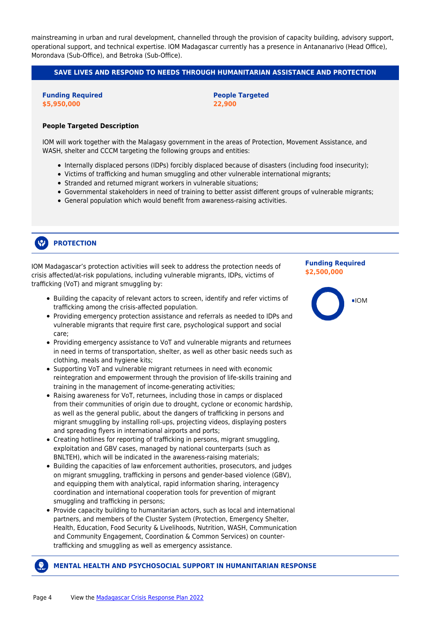mainstreaming in urban and rural development, channelled through the provision of capacity building, advisory support, operational support, and technical expertise. IOM Madagascar currently has a presence in Antananarivo (Head Office), Morondava (Sub-Office), and Betroka (Sub-Office).

## **SAVE LIVES AND RESPOND TO NEEDS THROUGH HUMANITARIAN ASSISTANCE AND PROTECTION**

**Funding Required \$5,950,000**

**People Targeted 22,900**

#### **People Targeted Description**

IOM will work together with the Malagasy government in the areas of Protection, Movement Assistance, and WASH, shelter and CCCM targeting the following groups and entities:

- Internally displaced persons (IDPs) forcibly displaced because of disasters (including food insecurity);
- Victims of trafficking and human smuggling and other vulnerable international migrants;
- Stranded and returned migrant workers in vulnerable situations;
- Governmental stakeholders in need of training to better assist different groups of vulnerable migrants;
- General population which would benefit from awareness-raising activities.

#### $\mathcal{P}$ **PROTECTION**

IOM Madagascar's protection activities will seek to address the protection needs of crisis affected/at-risk populations, including vulnerable migrants, IDPs, victims of trafficking (VoT) and migrant smuggling by:

- Building the capacity of relevant actors to screen, identify and refer victims of trafficking among the crisis-affected population.
- Providing emergency protection assistance and referrals as needed to IDPs and vulnerable migrants that require first care, psychological support and social care;
- Providing emergency assistance to VoT and vulnerable migrants and returnees in need in terms of transportation, shelter, as well as other basic needs such as clothing, meals and hygiene kits;
- Supporting VoT and vulnerable migrant returnees in need with economic reintegration and empowerment through the provision of life-skills training and training in the management of income-generating activities;
- Raising awareness for VoT, returnees, including those in camps or displaced from their communities of origin due to drought, cyclone or economic hardship, as well as the general public, about the dangers of trafficking in persons and migrant smuggling by installing roll-ups, projecting videos, displaying posters and spreading flyers in international airports and ports;
- Creating hotlines for reporting of trafficking in persons, migrant smuggling, exploitation and GBV cases, managed by national counterparts (such as BNLTEH), which will be indicated in the awareness-raising materials;
- Building the capacities of law enforcement authorities, prosecutors, and judges on migrant smuggling, trafficking in persons and gender-based violence (GBV), and equipping them with analytical, rapid information sharing, interagency coordination and international cooperation tools for prevention of migrant smuggling and trafficking in persons;
- Provide capacity building to humanitarian actors, such as local and international partners, and members of the Cluster System (Protection, Emergency Shelter, Health, Education, Food Security & Livelihoods, Nutrition, WASH, Communication and Community Engagement, Coordination & Common Services) on countertrafficking and smuggling as well as emergency assistance.

## **Funding Required \$2,500,000**



# **MENTAL HEALTH AND PSYCHOSOCIAL SUPPORT IN HUMANITARIAN RESPONSE**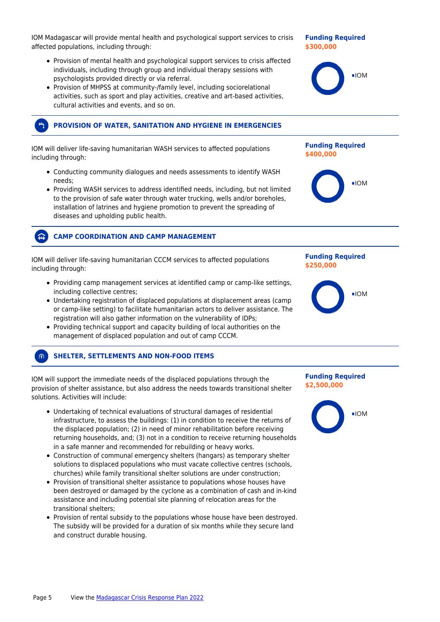IOM Madagascar will provide mental health and psychological support services to crisis affected populations, including through:

- Provision of mental health and psychological support services to crisis affected individuals, including through group and individual therapy sessions with psychologists provided directly or via referral.
- Provision of MHPSS at community-/family level, including sociorelational activities, such as sport and play activities, creative and art-based activities, cultural activities and events, and so on.

# **PROVISION OF WATER, SANITATION AND HYGIENE IN EMERGENCIES**

IOM will deliver life-saving humanitarian WASH services to affected populations including through:

- Conducting community dialogues and needs assessments to identify WASH needs;
- Providing WASH services to address identified needs, including, but not limited to the provision of safe water through water trucking, wells and/or boreholes, installation of latrines and hygiene promotion to prevent the spreading of diseases and upholding public health.

# **CAMP COORDINATION AND CAMP MANAGEMENT**

IOM will deliver life-saving humanitarian CCCM services to affected populations including through:

- Providing camp management services at identified camp or camp-like settings, including collective centres;
- Undertaking registration of displaced populations at displacement areas (camp or camp-like setting) to facilitate humanitarian actors to deliver assistance. The registration will also gather information on the vulnerability of IDPs;
- Providing technical support and capacity building of local authorities on the management of displaced population and out of camp CCCM.

# **SHELTER, SETTLEMENTS AND NON-FOOD ITEMS**

俞

IOM will support the immediate needs of the displaced populations through the provision of shelter assistance, but also address the needs towards transitional shelter solutions. Activities will include:

- Undertaking of technical evaluations of structural damages of residential infrastructure, to assess the buildings: (1) in condition to receive the returns of the displaced population; (2) in need of minor rehabilitation before receiving returning households, and; (3) not in a condition to receive returning households in a safe manner and recommended for rebuilding or heavy works.
- Construction of communal emergency shelters (hangars) as temporary shelter solutions to displaced populations who must vacate collective centres (schools, churches) while family transitional shelter solutions are under construction;
- Provision of transitional shelter assistance to populations whose houses have been destroyed or damaged by the cyclone as a combination of cash and in-kind assistance and including potential site planning of relocation areas for the transitional shelters;
- Provision of rental subsidy to the populations whose house have been destroyed. The subsidy will be provided for a duration of six months while they secure land and construct durable housing.

#### **Funding Required \$300,000**



# **Funding Required \$400,000**



### **Funding Required \$250,000**



**Funding Required \$2,500,000**

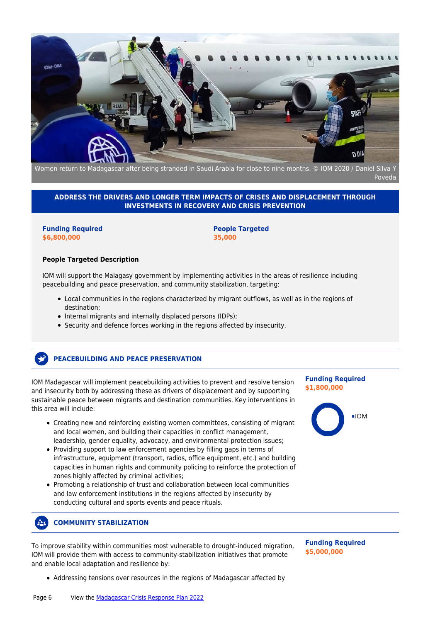

Women return to Madagascar after being stranded in Saudi Arabia for close to nine months. © IOM 2020 / Daniel Silva Y Poveda

### **ADDRESS THE DRIVERS AND LONGER TERM IMPACTS OF CRISES AND DISPLACEMENT THROUGH INVESTMENTS IN RECOVERY AND CRISIS PREVENTION**

**Funding Required \$6,800,000**

**People Targeted 35,000**

#### **People Targeted Description**

IOM will support the Malagasy government by implementing activities in the areas of resilience including peacebuilding and peace preservation, and community stabilization, targeting:

- Local communities in the regions characterized by migrant outflows, as well as in the regions of destination;
- Internal migrants and internally displaced persons (IDPs);
- Security and defence forces working in the regions affected by insecurity.

# **PEACEBUILDING AND PEACE PRESERVATION**

IOM Madagascar will implement peacebuilding activities to prevent and resolve tension and insecurity both by addressing these as drivers of displacement and by supporting sustainable peace between migrants and destination communities. Key interventions in this area will include:

- Creating new and reinforcing existing women committees, consisting of migrant and local women, and building their capacities in conflict management, leadership, gender equality, advocacy, and environmental protection issues;
- Providing support to law enforcement agencies by filling gaps in terms of infrastructure, equipment (transport, radios, office equipment, etc.) and building capacities in human rights and community policing to reinforce the protection of zones highly affected by criminal activities;
- Promoting a relationship of trust and collaboration between local communities and law enforcement institutions in the regions affected by insecurity by conducting cultural and sports events and peace rituals.

#### $22.$ **COMMUNITY STABILIZATION**

To improve stability within communities most vulnerable to drought-induced migration, IOM will provide them with access to community-stabilization initiatives that promote and enable local adaptation and resilience by:

**Funding Required \$5,000,000**

• Addressing tensions over resources in the regions of Madagascar affected by

**Funding Required \$1,800,000**

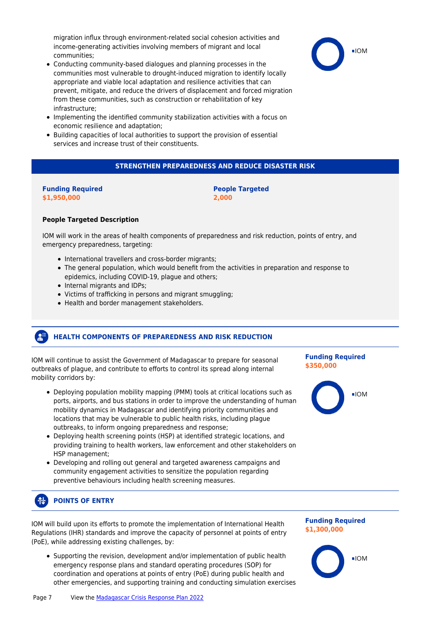migration influx through environment-related social cohesion activities and income-generating activities involving members of migrant and local communities;

- Conducting community-based dialogues and planning processes in the communities most vulnerable to drought-induced migration to identify locally appropriate and viable local adaptation and resilience activities that can prevent, mitigate, and reduce the drivers of displacement and forced migration from these communities, such as construction or rehabilitation of key infrastructure;
- Implementing the identified community stabilization activities with a focus on economic resilience and adaptation;
- Building capacities of local authorities to support the provision of essential services and increase trust of their constituents.

# **STRENGTHEN PREPAREDNESS AND REDUCE DISASTER RISK**

#### **Funding Required \$1,950,000**

### **People Targeted 2,000**

### **People Targeted Description**

IOM will work in the areas of health components of preparedness and risk reduction, points of entry, and emergency preparedness, targeting:

- International travellers and cross-border migrants;
- The general population, which would benefit from the activities in preparation and response to epidemics, including COVID-19, plague and others;
- Internal migrants and IDPs;
- Victims of trafficking in persons and migrant smuggling;
- Health and border management stakeholders.

#### **A HEALTH COMPONENTS OF PREPAREDNESS AND RISK REDUCTION**

IOM will continue to assist the Government of Madagascar to prepare for seasonal outbreaks of plague, and contribute to efforts to control its spread along internal mobility corridors by:

- Deploying population mobility mapping (PMM) tools at critical locations such as ports, airports, and bus stations in order to improve the understanding of human mobility dynamics in Madagascar and identifying priority communities and locations that may be vulnerable to public health risks, including plague outbreaks, to inform ongoing preparedness and response;
- Deploying health screening points (HSP) at identified strategic locations, and providing training to health workers, law enforcement and other stakeholders on HSP management;
- Developing and rolling out general and targeted awareness campaigns and community engagement activities to sensitize the population regarding preventive behaviours including health screening measures.

#### **POINTS OF ENTRY** 布

IOM will build upon its efforts to promote the implementation of International Health Regulations (IHR) standards and improve the capacity of personnel at points of entry (PoE), while addressing existing challenges, by:

Supporting the revision, development and/or implementation of public health emergency response plans and standard operating procedures (SOP) for coordination and operations at points of entry (PoE) during public health and other emergencies, and supporting training and conducting simulation exercises

# **Funding Required \$350,000**





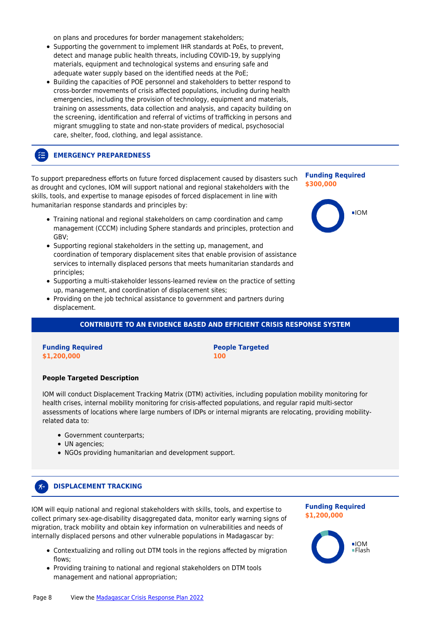on plans and procedures for border management stakeholders;

- Supporting the government to implement IHR standards at PoEs, to prevent, detect and manage public health threats, including COVID-19, by supplying materials, equipment and technological systems and ensuring safe and adequate water supply based on the identified needs at the PoE:
- Building the capacities of POE personnel and stakeholders to better respond to cross-border movements of crisis affected populations, including during health emergencies, including the provision of technology, equipment and materials, training on assessments, data collection and analysis, and capacity building on the screening, identification and referral of victims of trafficking in persons and migrant smuggling to state and non-state providers of medical, psychosocial care, shelter, food, clothing, and legal assistance.

#### 狂 **EMERGENCY PREPAREDNESS**

To support preparedness efforts on future forced displacement caused by disasters such as drought and cyclones, IOM will support national and regional stakeholders with the skills, tools, and expertise to manage episodes of forced displacement in line with humanitarian response standards and principles by:

- Training national and regional stakeholders on camp coordination and camp management (CCCM) including Sphere standards and principles, protection and GBV;
- Supporting regional stakeholders in the setting up, management, and coordination of temporary displacement sites that enable provision of assistance services to internally displaced persons that meets humanitarian standards and principles;
- Supporting a multi-stakeholder lessons-learned review on the practice of setting up, management, and coordination of displacement sites;
- Providing on the job technical assistance to government and partners during displacement.

#### **CONTRIBUTE TO AN EVIDENCE BASED AND EFFICIENT CRISIS RESPONSE SYSTEM**

#### **Funding Required \$1,200,000**

**People Targeted 100**

#### **People Targeted Description**

IOM will conduct Displacement Tracking Matrix (DTM) activities, including population mobility monitoring for health crises, internal mobility monitoring for crisis-affected populations, and regular rapid multi-sector assessments of locations where large numbers of IDPs or internal migrants are relocating, providing mobilityrelated data to:

- Government counterparts;
- UN agencies:

 $\chi_{\rightarrow}$ 

NGOs providing humanitarian and development support.

# **DISPLACEMENT TRACKING**

IOM will equip national and regional stakeholders with skills, tools, and expertise to collect primary sex-age-disability disaggregated data, monitor early warning signs of migration, track mobility and obtain key information on vulnerabilities and needs of internally displaced persons and other vulnerable populations in Madagascar by:

- Contextualizing and rolling out DTM tools in the regions affected by migration flows;
- Providing training to national and regional stakeholders on DTM tools management and national appropriation;

#### **Funding Required \$1,200,000**

**Funding Required**

 $\blacksquare$ IOM

**\$300,000**